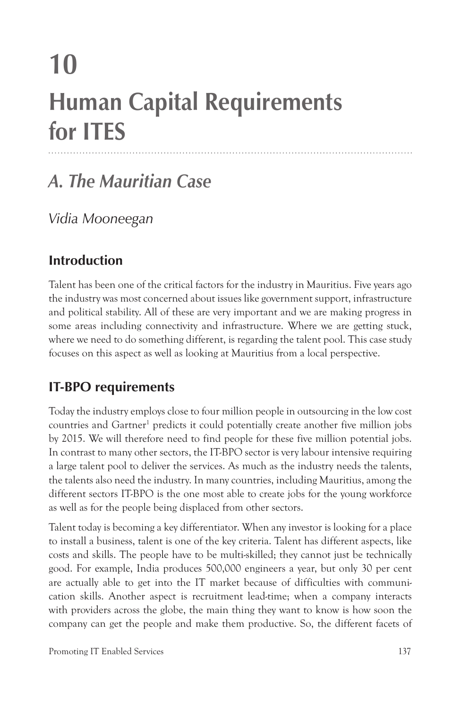# **10 Human Capital Requirements for ITES**

# *A. The Mauritian Case*

*Vidia Mooneegan*

## **Introduction**

Talent has been one of the critical factors for the industry in Mauritius. Five years ago the industry was most concerned about issues like government support, infrastructure and political stability. All of these are very important and we are making progress in some areas including connectivity and infrastructure. Where we are getting stuck, where we need to do something different, is regarding the talent pool. This case study focuses on this aspect as well as looking at Mauritius from a local perspective.

## **IT-BPO requirements**

Today the industry employs close to four million people in outsourcing in the low cost countries and Gartner<sup>1</sup> predicts it could potentially create another five million jobs by 2015. We will therefore need to find people for these five million potential jobs. In contrast to many other sectors, the IT-BPO sector is very labour intensive requiring a large talent pool to deliver the services. As much as the industry needs the talents, the talents also need the industry. In many countries, including Mauritius, among the different sectors IT-BPO is the one most able to create jobs for the young workforce as well as for the people being displaced from other sectors.

Talent today is becoming a key differentiator. When any investor is looking for a place to install a business, talent is one of the key criteria. Talent has different aspects, like costs and skills. The people have to be multi-skilled; they cannot just be technically good. For example, India produces 500,000 engineers a year, but only 30 per cent are actually able to get into the IT market because of difficulties with communication skills. Another aspect is recruitment lead-time; when a company interacts with providers across the globe, the main thing they want to know is how soon the company can get the people and make them productive. So, the different facets of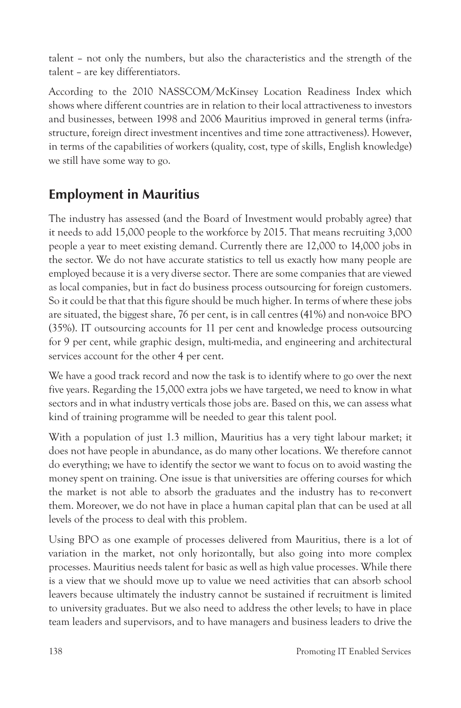talent – not only the numbers, but also the characteristics and the strength of the talent – are key differentiators.

According to the 2010 NASSCOM/McKinsey Location Readiness Index which shows where different countries are in relation to their local attractiveness to investors and businesses, between 1998 and 2006 Mauritius improved in general terms (infrastructure, foreign direct investment incentives and time zone attractiveness). However, in terms of the capabilities of workers (quality, cost, type of skills, English knowledge) we still have some way to go.

## **Employment in Mauritius**

The industry has assessed (and the Board of Investment would probably agree) that it needs to add 15,000 people to the workforce by 2015. That means recruiting 3,000 people a year to meet existing demand. Currently there are 12,000 to 14,000 jobs in the sector. We do not have accurate statistics to tell us exactly how many people are employed because it is a very diverse sector. There are some companies that are viewed as local companies, but in fact do business process outsourcing for foreign customers. So it could be that that this figure should be much higher. In terms of where these jobs are situated, the biggest share, 76 per cent, is in call centres (41%) and non-voice BPO (35%). IT outsourcing accounts for 11 per cent and knowledge process outsourcing for 9 per cent, while graphic design, multi-media, and engineering and architectural services account for the other 4 per cent.

We have a good track record and now the task is to identify where to go over the next five years. Regarding the 15,000 extra jobs we have targeted, we need to know in what sectors and in what industry verticals those jobs are. Based on this, we can assess what kind of training programme will be needed to gear this talent pool.

With a population of just 1.3 million, Mauritius has a very tight labour market; it does not have people in abundance, as do many other locations. We therefore cannot do everything; we have to identify the sector we want to focus on to avoid wasting the money spent on training. One issue is that universities are offering courses for which the market is not able to absorb the graduates and the industry has to re-convert them. Moreover, we do not have in place a human capital plan that can be used at all levels of the process to deal with this problem.

Using BPO as one example of processes delivered from Mauritius, there is a lot of variation in the market, not only horizontally, but also going into more complex processes. Mauritius needs talent for basic as well as high value processes. While there is a view that we should move up to value we need activities that can absorb school leavers because ultimately the industry cannot be sustained if recruitment is limited to university graduates. But we also need to address the other levels; to have in place team leaders and supervisors, and to have managers and business leaders to drive the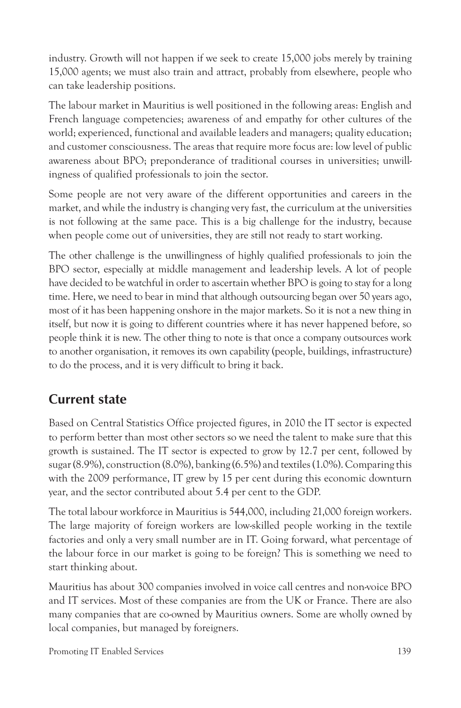industry. Growth will not happen if we seek to create 15,000 jobs merely by training 15,000 agents; we must also train and attract, probably from elsewhere, people who can take leadership positions.

The labour market in Mauritius is well positioned in the following areas: English and French language competencies; awareness of and empathy for other cultures of the world; experienced, functional and available leaders and managers; quality education; and customer consciousness. The areas that require more focus are: low level of public awareness about BPO; preponderance of traditional courses in universities; unwillingness of qualified professionals to join the sector.

Some people are not very aware of the different opportunities and careers in the market, and while the industry is changing very fast, the curriculum at the universities is not following at the same pace. This is a big challenge for the industry, because when people come out of universities, they are still not ready to start working.

The other challenge is the unwillingness of highly qualified professionals to join the BPO sector, especially at middle management and leadership levels. A lot of people have decided to be watchful in order to ascertain whether BPO is going to stay for a long time. Here, we need to bear in mind that although outsourcing began over 50 years ago, most of it has been happening onshore in the major markets. So it is not a new thing in itself, but now it is going to different countries where it has never happened before, so people think it is new. The other thing to note is that once a company outsources work to another organisation, it removes its own capability (people, buildings, infrastructure) to do the process, and it is very difficult to bring it back.

## **Current state**

Based on Central Statistics Office projected figures, in 2010 the IT sector is expected to perform better than most other sectors so we need the talent to make sure that this growth is sustained. The IT sector is expected to grow by 12.7 per cent, followed by sugar (8.9%), construction (8.0%), banking (6.5%) and textiles (1.0%). Comparing this with the 2009 performance, IT grew by 15 per cent during this economic downturn year, and the sector contributed about 5.4 per cent to the GDP.

The total labour workforce in Mauritius is 544,000, including 21,000 foreign workers. The large majority of foreign workers are low-skilled people working in the textile factories and only a very small number are in IT. Going forward, what percentage of the labour force in our market is going to be foreign? This is something we need to start thinking about.

Mauritius has about 300 companies involved in voice call centres and non-voice BPO and IT services. Most of these companies are from the UK or France. There are also many companies that are co-owned by Mauritius owners. Some are wholly owned by local companies, but managed by foreigners.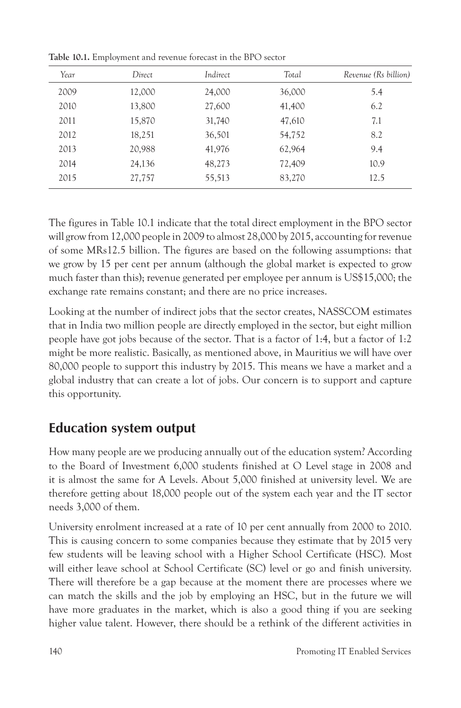| Year | Direct | Indirect | Total  | Revenue (Rs billion) |
|------|--------|----------|--------|----------------------|
| 2009 | 12,000 | 24,000   | 36,000 | 5.4                  |
| 2010 | 13,800 | 27,600   | 41,400 | 6.2                  |
| 2011 | 15,870 | 31,740   | 47,610 | 7.1                  |
| 2012 | 18,251 | 36,501   | 54,752 | 8.2                  |
| 2013 | 20,988 | 41,976   | 62,964 | 9.4                  |
| 2014 | 24,136 | 48,273   | 72,409 | 10.9                 |
| 2015 | 27,757 | 55,513   | 83,270 | 12.5                 |

**Table 10.1.** Employment and revenue forecast in the BPO sector

The figures in Table 10.1 indicate that the total direct employment in the BPO sector will grow from 12,000 people in 2009 to almost 28,000 by 2015, accounting for revenue of some MRs12.5 billion. The figures are based on the following assumptions: that we grow by 15 per cent per annum (although the global market is expected to grow much faster than this); revenue generated per employee per annum is US\$15,000; the exchange rate remains constant; and there are no price increases.

Looking at the number of indirect jobs that the sector creates, NASSCOM estimates that in India two million people are directly employed in the sector, but eight million people have got jobs because of the sector. That is a factor of 1:4, but a factor of 1:2 might be more realistic. Basically, as mentioned above, in Mauritius we will have over 80,000 people to support this industry by 2015. This means we have a market and a global industry that can create a lot of jobs. Our concern is to support and capture this opportunity.

### **Education system output**

How many people are we producing annually out of the education system? According to the Board of Investment 6,000 students finished at O Level stage in 2008 and it is almost the same for A Levels. About 5,000 finished at university level. We are therefore getting about 18,000 people out of the system each year and the IT sector needs 3,000 of them.

University enrolment increased at a rate of 10 per cent annually from 2000 to 2010. This is causing concern to some companies because they estimate that by 2015 very few students will be leaving school with a Higher School Certificate (HSC). Most will either leave school at School Certificate (SC) level or go and finish university. There will therefore be a gap because at the moment there are processes where we can match the skills and the job by employing an HSC, but in the future we will have more graduates in the market, which is also a good thing if you are seeking higher value talent. However, there should be a rethink of the different activities in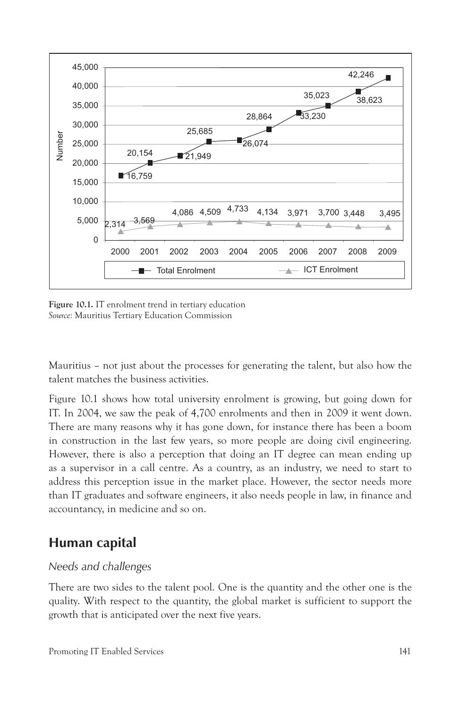

**Figure 10.1.** IT enrolment trend in tertiary education *Source:* Mauritius Tertiary Education Commission

Mauritius – not just about the processes for generating the talent, but also how the talent matches the business activities.

Figure 10.1 shows how total university enrolment is growing, but going down for IT. In 2004, we saw the peak of 4,700 enrolments and then in 2009 it went down. There are many reasons why it has gone down, for instance there has been a boom in construction in the last few years, so more people are doing civil engineering. However, there is also a perception that doing an IT degree can mean ending up as a supervisor in a call centre. As a country, as an industry, we need to start to address this perception issue in the market place. However, the sector needs more than IT graduates and software engineers, it also needs people in law, in finance and accountancy, in medicine and so on.

#### **Human capital**

#### *Needs and challenges*

There are two sides to the talent pool. One is the quantity and the other one is the quality. With respect to the quantity, the global market is sufficient to support the growth that is anticipated over the next five years.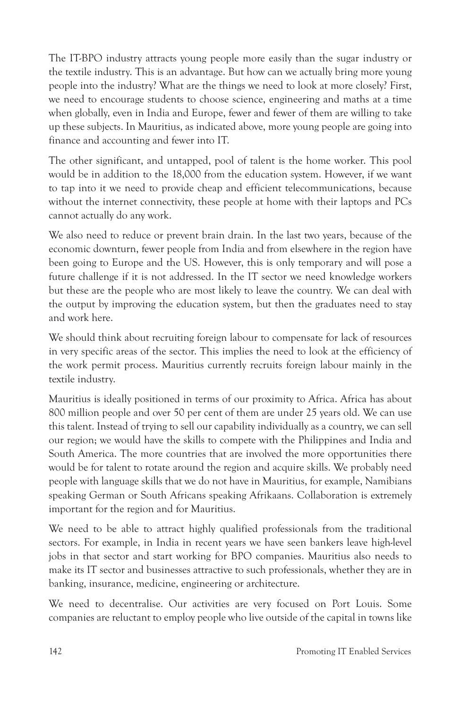The IT-BPO industry attracts young people more easily than the sugar industry or the textile industry. This is an advantage. But how can we actually bring more young people into the industry? What are the things we need to look at more closely? First, we need to encourage students to choose science, engineering and maths at a time when globally, even in India and Europe, fewer and fewer of them are willing to take up these subjects. In Mauritius, as indicated above, more young people are going into finance and accounting and fewer into IT.

The other significant, and untapped, pool of talent is the home worker. This pool would be in addition to the 18,000 from the education system. However, if we want to tap into it we need to provide cheap and efficient telecommunications, because without the internet connectivity, these people at home with their laptops and PCs cannot actually do any work.

We also need to reduce or prevent brain drain. In the last two years, because of the economic downturn, fewer people from India and from elsewhere in the region have been going to Europe and the US. However, this is only temporary and will pose a future challenge if it is not addressed. In the IT sector we need knowledge workers but these are the people who are most likely to leave the country. We can deal with the output by improving the education system, but then the graduates need to stay and work here.

We should think about recruiting foreign labour to compensate for lack of resources in very specific areas of the sector. This implies the need to look at the efficiency of the work permit process. Mauritius currently recruits foreign labour mainly in the textile industry.

Mauritius is ideally positioned in terms of our proximity to Africa. Africa has about 800 million people and over 50 per cent of them are under 25 years old. We can use this talent. Instead of trying to sell our capability individually as a country, we can sell our region; we would have the skills to compete with the Philippines and India and South America. The more countries that are involved the more opportunities there would be for talent to rotate around the region and acquire skills. We probably need people with language skills that we do not have in Mauritius, for example, Namibians speaking German or South Africans speaking Afrikaans. Collaboration is extremely important for the region and for Mauritius.

We need to be able to attract highly qualified professionals from the traditional sectors. For example, in India in recent years we have seen bankers leave high-level jobs in that sector and start working for BPO companies. Mauritius also needs to make its IT sector and businesses attractive to such professionals, whether they are in banking, insurance, medicine, engineering or architecture.

We need to decentralise. Our activities are very focused on Port Louis. Some companies are reluctant to employ people who live outside of the capital in towns like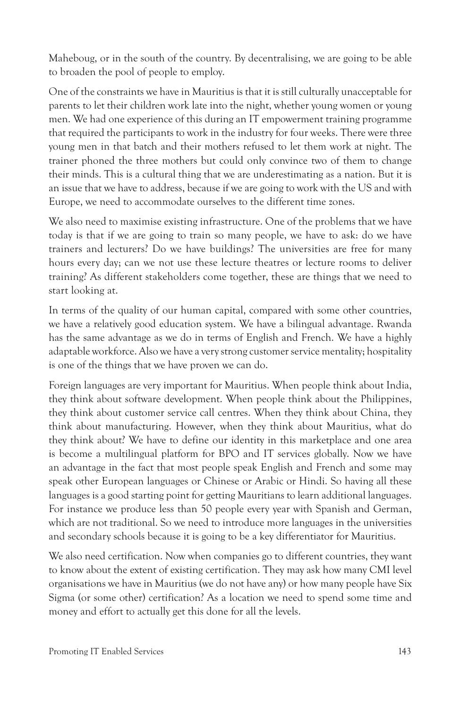Maheboug, or in the south of the country. By decentralising, we are going to be able to broaden the pool of people to employ.

One of the constraints we have in Mauritius is that it is still culturally unacceptable for parents to let their children work late into the night, whether young women or young men. We had one experience of this during an IT empowerment training programme that required the participants to work in the industry for four weeks. There were three young men in that batch and their mothers refused to let them work at night. The trainer phoned the three mothers but could only convince two of them to change their minds. This is a cultural thing that we are underestimating as a nation. But it is an issue that we have to address, because if we are going to work with the US and with Europe, we need to accommodate ourselves to the different time zones.

We also need to maximise existing infrastructure. One of the problems that we have today is that if we are going to train so many people, we have to ask: do we have trainers and lecturers? Do we have buildings? The universities are free for many hours every day; can we not use these lecture theatres or lecture rooms to deliver training? As different stakeholders come together, these are things that we need to start looking at.

In terms of the quality of our human capital, compared with some other countries, we have a relatively good education system. We have a bilingual advantage. Rwanda has the same advantage as we do in terms of English and French. We have a highly adaptable workforce. Also we have a very strong customer service mentality; hospitality is one of the things that we have proven we can do.

Foreign languages are very important for Mauritius. When people think about India, they think about software development. When people think about the Philippines, they think about customer service call centres. When they think about China, they think about manufacturing. However, when they think about Mauritius, what do they think about? We have to define our identity in this marketplace and one area is become a multilingual platform for BPO and IT services globally. Now we have an advantage in the fact that most people speak English and French and some may speak other European languages or Chinese or Arabic or Hindi. So having all these languages is a good starting point for getting Mauritians to learn additional languages. For instance we produce less than 50 people every year with Spanish and German, which are not traditional. So we need to introduce more languages in the universities and secondary schools because it is going to be a key differentiator for Mauritius.

We also need certification. Now when companies go to different countries, they want to know about the extent of existing certification. They may ask how many CMI level organisations we have in Mauritius (we do not have any) or how many people have Six Sigma (or some other) certification? As a location we need to spend some time and money and effort to actually get this done for all the levels.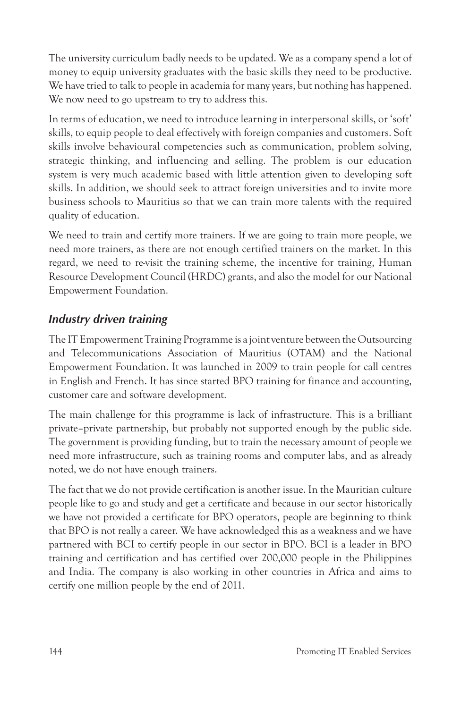The university curriculum badly needs to be updated. We as a company spend a lot of money to equip university graduates with the basic skills they need to be productive. We have tried to talk to people in academia for many years, but nothing has happened. We now need to go upstream to try to address this.

In terms of education, we need to introduce learning in interpersonal skills, or 'soft' skills, to equip people to deal effectively with foreign companies and customers. Soft skills involve behavioural competencies such as communication, problem solving, strategic thinking, and influencing and selling. The problem is our education system is very much academic based with little attention given to developing soft skills. In addition, we should seek to attract foreign universities and to invite more business schools to Mauritius so that we can train more talents with the required quality of education.

We need to train and certify more trainers. If we are going to train more people, we need more trainers, as there are not enough certified trainers on the market. In this regard, we need to re-visit the training scheme, the incentive for training, Human Resource Development Council (HRDC) grants, and also the model for our National Empowerment Foundation.

#### *Industry driven training*

The IT Empowerment Training Programme is a joint venture between the Outsourcing and Telecommunications Association of Mauritius (OTAM) and the National Empowerment Foundation. It was launched in 2009 to train people for call centres in English and French. It has since started BPO training for finance and accounting, customer care and software development.

The main challenge for this programme is lack of infrastructure. This is a brilliant private–private partnership, but probably not supported enough by the public side. The government is providing funding, but to train the necessary amount of people we need more infrastructure, such as training rooms and computer labs, and as already noted, we do not have enough trainers.

The fact that we do not provide certification is another issue. In the Mauritian culture people like to go and study and get a certificate and because in our sector historically we have not provided a certificate for BPO operators, people are beginning to think that BPO is not really a career. We have acknowledged this as a weakness and we have partnered with BCI to certify people in our sector in BPO. BCI is a leader in BPO training and certification and has certified over 200,000 people in the Philippines and India. The company is also working in other countries in Africa and aims to certify one million people by the end of 2011.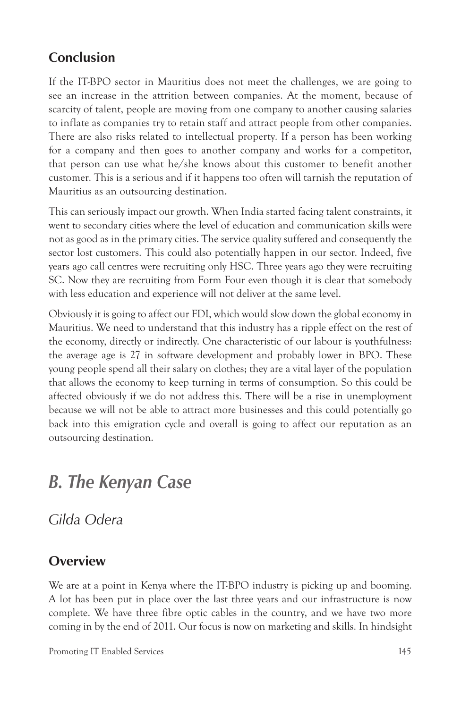## **Conclusion**

If the IT-BPO sector in Mauritius does not meet the challenges, we are going to see an increase in the attrition between companies. At the moment, because of scarcity of talent, people are moving from one company to another causing salaries to inflate as companies try to retain staff and attract people from other companies. There are also risks related to intellectual property. If a person has been working for a company and then goes to another company and works for a competitor, that person can use what he/she knows about this customer to benefit another customer. This is a serious and if it happens too often will tarnish the reputation of Mauritius as an outsourcing destination.

This can seriously impact our growth. When India started facing talent constraints, it went to secondary cities where the level of education and communication skills were not as good as in the primary cities. The service quality suffered and consequently the sector lost customers. This could also potentially happen in our sector. Indeed, five years ago call centres were recruiting only HSC. Three years ago they were recruiting SC. Now they are recruiting from Form Four even though it is clear that somebody with less education and experience will not deliver at the same level.

Obviously it is going to affect our FDI, which would slow down the global economy in Mauritius. We need to understand that this industry has a ripple effect on the rest of the economy, directly or indirectly. One characteristic of our labour is youthfulness: the average age is 27 in software development and probably lower in BPO. These young people spend all their salary on clothes; they are a vital layer of the population that allows the economy to keep turning in terms of consumption. So this could be affected obviously if we do not address this. There will be a rise in unemployment because we will not be able to attract more businesses and this could potentially go back into this emigration cycle and overall is going to affect our reputation as an outsourcing destination.

## *B. The Kenyan Case*

*Gilda Odera*

#### **Overview**

We are at a point in Kenya where the IT-BPO industry is picking up and booming. A lot has been put in place over the last three years and our infrastructure is now complete. We have three fibre optic cables in the country, and we have two more coming in by the end of 2011. Our focus is now on marketing and skills. In hindsight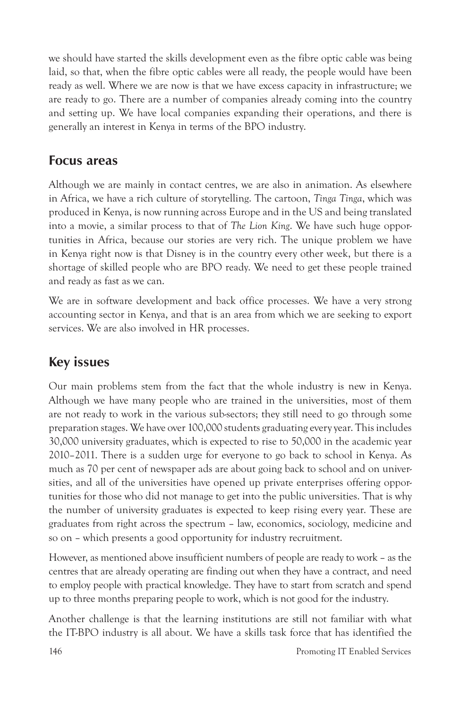we should have started the skills development even as the fibre optic cable was being laid, so that, when the fibre optic cables were all ready, the people would have been ready as well. Where we are now is that we have excess capacity in infrastructure; we are ready to go. There are a number of companies already coming into the country and setting up. We have local companies expanding their operations, and there is generally an interest in Kenya in terms of the BPO industry.

#### **Focus areas**

Although we are mainly in contact centres, we are also in animation. As elsewhere in Africa, we have a rich culture of storytelling. The cartoon, *Tinga Tinga*, which was produced in Kenya, is now running across Europe and in the US and being translated into a movie, a similar process to that of *The Lion King*. We have such huge opportunities in Africa, because our stories are very rich. The unique problem we have in Kenya right now is that Disney is in the country every other week, but there is a shortage of skilled people who are BPO ready. We need to get these people trained and ready as fast as we can.

We are in software development and back office processes. We have a very strong accounting sector in Kenya, and that is an area from which we are seeking to export services. We are also involved in HR processes.

## **Key issues**

Our main problems stem from the fact that the whole industry is new in Kenya. Although we have many people who are trained in the universities, most of them are not ready to work in the various sub-sectors; they still need to go through some preparation stages. We have over 100,000 students graduating every year. This includes 30,000 university graduates, which is expected to rise to 50,000 in the academic year 2010–2011. There is a sudden urge for everyone to go back to school in Kenya. As much as 70 per cent of newspaper ads are about going back to school and on universities, and all of the universities have opened up private enterprises offering opportunities for those who did not manage to get into the public universities. That is why the number of university graduates is expected to keep rising every year. These are graduates from right across the spectrum – law, economics, sociology, medicine and so on – which presents a good opportunity for industry recruitment.

However, as mentioned above insufficient numbers of people are ready to work – as the centres that are already operating are finding out when they have a contract, and need to employ people with practical knowledge. They have to start from scratch and spend up to three months preparing people to work, which is not good for the industry.

Another challenge is that the learning institutions are still not familiar with what the IT-BPO industry is all about. We have a skills task force that has identified the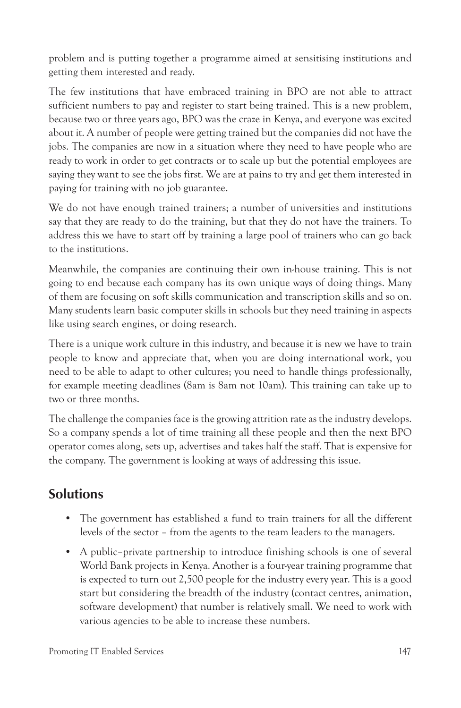problem and is putting together a programme aimed at sensitising institutions and getting them interested and ready.

The few institutions that have embraced training in BPO are not able to attract sufficient numbers to pay and register to start being trained. This is a new problem, because two or three years ago, BPO was the craze in Kenya, and everyone was excited about it. A number of people were getting trained but the companies did not have the jobs. The companies are now in a situation where they need to have people who are ready to work in order to get contracts or to scale up but the potential employees are saying they want to see the jobs first. We are at pains to try and get them interested in paying for training with no job guarantee.

We do not have enough trained trainers; a number of universities and institutions say that they are ready to do the training, but that they do not have the trainers. To address this we have to start off by training a large pool of trainers who can go back to the institutions.

Meanwhile, the companies are continuing their own in-house training. This is not going to end because each company has its own unique ways of doing things. Many of them are focusing on soft skills communication and transcription skills and so on. Many students learn basic computer skills in schools but they need training in aspects like using search engines, or doing research.

There is a unique work culture in this industry, and because it is new we have to train people to know and appreciate that, when you are doing international work, you need to be able to adapt to other cultures; you need to handle things professionally, for example meeting deadlines (8am is 8am not 10am). This training can take up to two or three months.

The challenge the companies face is the growing attrition rate as the industry develops. So a company spends a lot of time training all these people and then the next BPO operator comes along, sets up, advertises and takes half the staff. That is expensive for the company. The government is looking at ways of addressing this issue.

## **Solutions**

- The government has established a fund to train trainers for all the different levels of the sector – from the agents to the team leaders to the managers.
- A public–private partnership to introduce finishing schools is one of several World Bank projects in Kenya. Another is a four-year training programme that is expected to turn out 2,500 people for the industry every year. This is a good start but considering the breadth of the industry (contact centres, animation, software development) that number is relatively small. We need to work with various agencies to be able to increase these numbers.